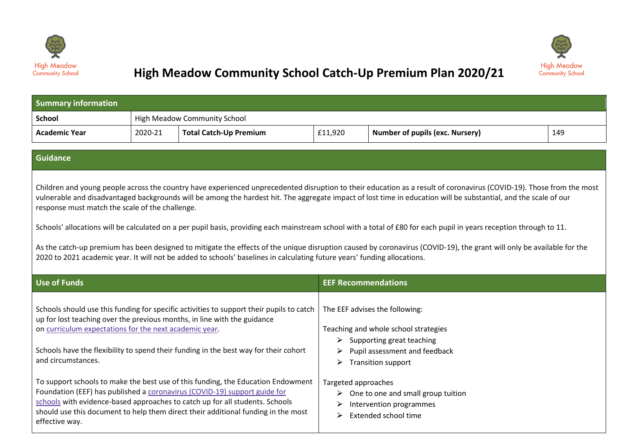



## **High Meadow Community School Catch-Up Premium Plan 2020/21**

| <b>Summary information</b> |         |                                     |         |                                        |     |  |
|----------------------------|---------|-------------------------------------|---------|----------------------------------------|-----|--|
| <b>School</b>              |         | <b>High Meadow Community School</b> |         |                                        |     |  |
| <b>Academic Year</b>       | 2020-21 | <b>Total Catch-Up Premium</b>       | £11,920 | <b>Number of pupils (exc. Nursery)</b> | 149 |  |

## **Guidance**

Children and young people across the country have experienced unprecedented disruption to their education as a result of coronavirus (COVID-19). Those from the most vulnerable and disadvantaged backgrounds will be among the hardest hit. The aggregate impact of lost time in education will be substantial, and the scale of our response must match the scale of the challenge.

Schools' allocations will be calculated on a per pupil basis, providing each mainstream school with a total of £80 for each pupil in years reception through to 11.

As the catch-up premium has been designed to mitigate the effects of the unique disruption caused by coronavirus (COVID-19), the grant will only be available for the 2020 to 2021 academic year. It will not be added to schools' baselines in calculating future years' funding allocations.

| Use of Funds                                                                                                                                                                                                                                                                                                                                         | <b>EEF Recommendations</b>                                                                                                                                                                   |
|------------------------------------------------------------------------------------------------------------------------------------------------------------------------------------------------------------------------------------------------------------------------------------------------------------------------------------------------------|----------------------------------------------------------------------------------------------------------------------------------------------------------------------------------------------|
| Schools should use this funding for specific activities to support their pupils to catch<br>up for lost teaching over the previous months, in line with the guidance<br>on curriculum expectations for the next academic year.<br>Schools have the flexibility to spend their funding in the best way for their cohort<br>and circumstances.         | The EEF advises the following:<br>Teaching and whole school strategies<br>$\triangleright$ Supporting great teaching<br>Pupil assessment and feedback<br>➤<br><b>Transition support</b><br>➤ |
| To support schools to make the best use of this funding, the Education Endowment<br>Foundation (EEF) has published a coronavirus (COVID-19) support guide for<br>schools with evidence-based approaches to catch up for all students. Schools<br>should use this document to help them direct their additional funding in the most<br>effective way. | Targeted approaches<br>One to one and small group tuition<br>➤<br>Intervention programmes<br>⋗<br>Extended school time<br>⋗                                                                  |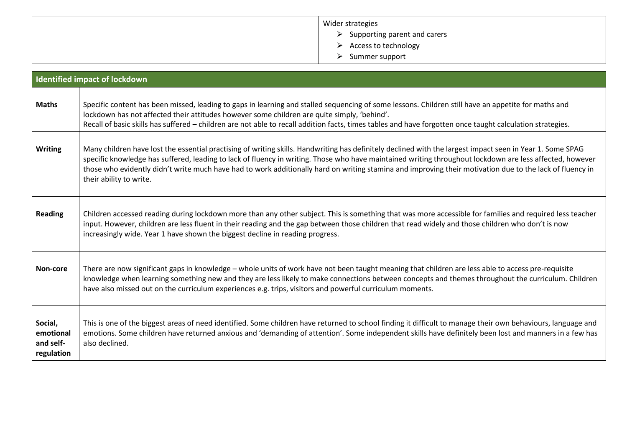| Wider strategies                              |
|-----------------------------------------------|
| $\triangleright$ Supporting parent and carers |
| Access to technology<br>$\triangleright$      |
| Summer support<br>➤                           |

|                                                 | <b>Identified impact of lockdown</b>                                                                                                                                                                                                                                                                                                                                                                                                                                                                         |
|-------------------------------------------------|--------------------------------------------------------------------------------------------------------------------------------------------------------------------------------------------------------------------------------------------------------------------------------------------------------------------------------------------------------------------------------------------------------------------------------------------------------------------------------------------------------------|
| <b>Maths</b>                                    | Specific content has been missed, leading to gaps in learning and stalled sequencing of some lessons. Children still have an appetite for maths and<br>lockdown has not affected their attitudes however some children are quite simply, 'behind'.<br>Recall of basic skills has suffered - children are not able to recall addition facts, times tables and have forgotten once taught calculation strategies.                                                                                              |
| <b>Writing</b>                                  | Many children have lost the essential practising of writing skills. Handwriting has definitely declined with the largest impact seen in Year 1. Some SPAG<br>specific knowledge has suffered, leading to lack of fluency in writing. Those who have maintained writing throughout lockdown are less affected, however<br>those who evidently didn't write much have had to work additionally hard on writing stamina and improving their motivation due to the lack of fluency in<br>their ability to write. |
| <b>Reading</b>                                  | Children accessed reading during lockdown more than any other subject. This is something that was more accessible for families and required less teacher<br>input. However, children are less fluent in their reading and the gap between those children that read widely and those children who don't is now<br>increasingly wide. Year 1 have shown the biggest decline in reading progress.                                                                                                               |
| Non-core                                        | There are now significant gaps in knowledge - whole units of work have not been taught meaning that children are less able to access pre-requisite<br>knowledge when learning something new and they are less likely to make connections between concepts and themes throughout the curriculum. Children<br>have also missed out on the curriculum experiences e.g. trips, visitors and powerful curriculum moments.                                                                                         |
| Social,<br>emotional<br>and self-<br>regulation | This is one of the biggest areas of need identified. Some children have returned to school finding it difficult to manage their own behaviours, language and<br>emotions. Some children have returned anxious and 'demanding of attention'. Some independent skills have definitely been lost and manners in a few has<br>also declined.                                                                                                                                                                     |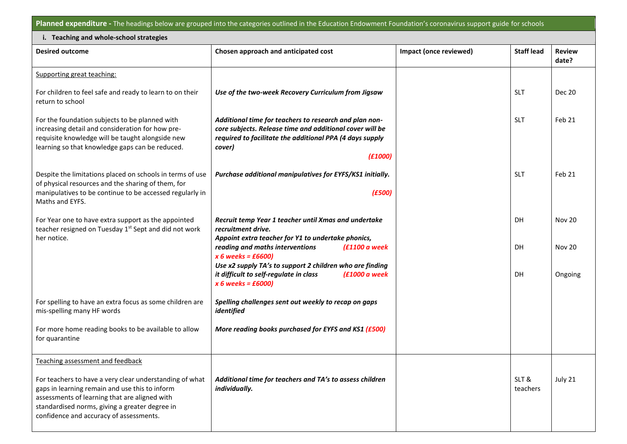**Planned expenditure -** The headings below are grouped into the categories outlined in the Education Endowment Foundation's coronavirus support guide for schools

Π

| i. Teaching and whole-school strategies                                                                                                                                                                                                                 |                                                                                                                                                                                                              |                        |                   |                         |  |
|---------------------------------------------------------------------------------------------------------------------------------------------------------------------------------------------------------------------------------------------------------|--------------------------------------------------------------------------------------------------------------------------------------------------------------------------------------------------------------|------------------------|-------------------|-------------------------|--|
| <b>Desired outcome</b>                                                                                                                                                                                                                                  | Chosen approach and anticipated cost                                                                                                                                                                         | Impact (once reviewed) | <b>Staff lead</b> | <b>Review</b><br>date?  |  |
| Supporting great teaching:                                                                                                                                                                                                                              |                                                                                                                                                                                                              |                        |                   |                         |  |
| For children to feel safe and ready to learn to on their<br>return to school                                                                                                                                                                            | Use of the two-week Recovery Curriculum from Jigsaw                                                                                                                                                          |                        | <b>SLT</b>        | <b>Dec 20</b>           |  |
| For the foundation subjects to be planned with<br>increasing detail and consideration for how pre-<br>requisite knowledge will be taught alongside new<br>learning so that knowledge gaps can be reduced.                                               | Additional time for teachers to research and plan non-<br>core subjects. Release time and additional cover will be<br>required to facilitate the additional PPA (4 days supply<br>cover)<br>(£1000)          |                        | <b>SLT</b>        | Feb 21                  |  |
| Despite the limitations placed on schools in terms of use<br>of physical resources and the sharing of them, for<br>manipulatives to be continue to be accessed regularly in<br>Maths and EYFS.                                                          | Purchase additional manipulatives for EYFS/KS1 initially.<br>(E500)                                                                                                                                          |                        | <b>SLT</b>        | Feb 21                  |  |
| For Year one to have extra support as the appointed<br>teacher resigned on Tuesday 1 <sup>st</sup> Sept and did not work<br>her notice.                                                                                                                 | Recruit temp Year 1 teacher until Xmas and undertake<br>recruitment drive.<br>Appoint extra teacher for Y1 to undertake phonics,<br>reading and maths interventions<br>$f1100a$ week<br>$x 6$ weeks = £6600) |                        | DH<br>DH          | <b>Nov 20</b><br>Nov 20 |  |
|                                                                                                                                                                                                                                                         | Use x2 supply TA's to support 2 children who are finding<br>$f1000a$ week<br>it difficult to self-regulate in class<br>$x 6$ weeks = £6000)                                                                  |                        | DH                | Ongoing                 |  |
| For spelling to have an extra focus as some children are<br>mis-spelling many HF words                                                                                                                                                                  | Spelling challenges sent out weekly to recap on gaps<br>identified                                                                                                                                           |                        |                   |                         |  |
| For more home reading books to be available to allow<br>for quarantine                                                                                                                                                                                  | More reading books purchased for EYFS and KS1 (£500)                                                                                                                                                         |                        |                   |                         |  |
| Teaching assessment and feedback                                                                                                                                                                                                                        |                                                                                                                                                                                                              |                        |                   |                         |  |
| For teachers to have a very clear understanding of what<br>gaps in learning remain and use this to inform<br>assessments of learning that are aligned with<br>standardised norms, giving a greater degree in<br>confidence and accuracy of assessments. | Additional time for teachers and TA's to assess children<br>individually.                                                                                                                                    |                        | SLT&<br>teachers  | July 21                 |  |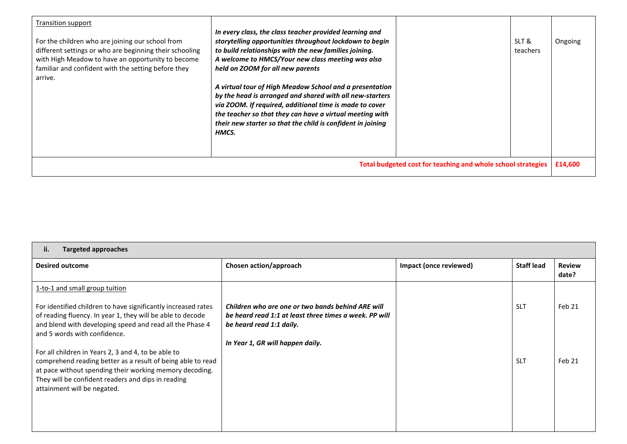| Transition support                                                                                                                                                                                                                 |                                                                                                                                                                                                                                                                                                                    |                                                              |                   |         |
|------------------------------------------------------------------------------------------------------------------------------------------------------------------------------------------------------------------------------------|--------------------------------------------------------------------------------------------------------------------------------------------------------------------------------------------------------------------------------------------------------------------------------------------------------------------|--------------------------------------------------------------|-------------------|---------|
| For the children who are joining our school from<br>different settings or who are beginning their schooling<br>with High Meadow to have an opportunity to become<br>familiar and confident with the setting before they<br>arrive. | In every class, the class teacher provided learning and<br>storytelling opportunities throughout lockdown to begin<br>to build relationships with the new families joining.<br>A welcome to HMCS/Your new class meeting was also<br>held on ZOOM for all new parents                                               |                                                              | SLT &<br>teachers | Ongoing |
|                                                                                                                                                                                                                                    | A virtual tour of High Meadow School and a presentation<br>by the head is arranged and shared with all new-starters<br>via ZOOM. If required, additional time is made to cover<br>the teacher so that they can have a virtual meeting with<br>their new starter so that the child is confident in joining<br>HMCS. |                                                              |                   |         |
|                                                                                                                                                                                                                                    |                                                                                                                                                                                                                                                                                                                    | Total budgeted cost for teaching and whole school strategies |                   | £14,600 |

| Targeted approaches<br>ii.                                                                                                                                                                                                                                         |                                                                                                                                         |                        |                   |                        |
|--------------------------------------------------------------------------------------------------------------------------------------------------------------------------------------------------------------------------------------------------------------------|-----------------------------------------------------------------------------------------------------------------------------------------|------------------------|-------------------|------------------------|
| <b>Desired outcome</b>                                                                                                                                                                                                                                             | Chosen action/approach                                                                                                                  | Impact (once reviewed) | <b>Staff lead</b> | <b>Review</b><br>date? |
| 1-to-1 and small group tuition<br>For identified children to have significantly increased rates<br>of reading fluency. In year 1, they will be able to decode<br>and blend with developing speed and read all the Phase 4<br>and 5 words with confidence.          | Children who are one or two bands behind ARE will<br>be heard read 1:1 at least three times a week. PP will<br>be heard read 1:1 daily. |                        | <b>SLT</b>        | Feb 21                 |
| For all children in Years 2, 3 and 4, to be able to<br>comprehend reading better as a result of being able to read<br>at pace without spending their working memory decoding.<br>They will be confident readers and dips in reading<br>attainment will be negated. | In Year 1, GR will happen daily.                                                                                                        |                        | <b>SLT</b>        | Feb 21                 |
|                                                                                                                                                                                                                                                                    |                                                                                                                                         |                        |                   |                        |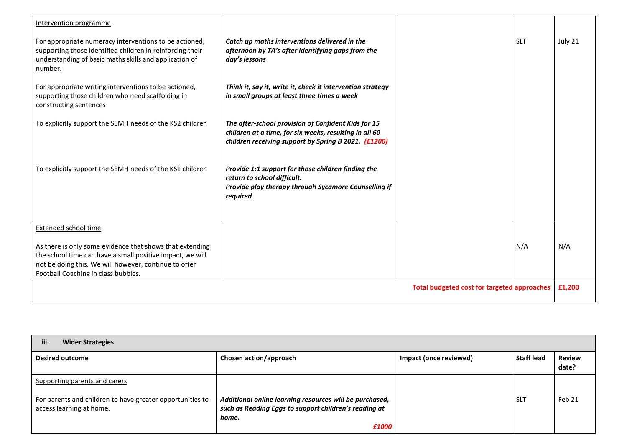| Intervention programme                                                                                                                                                                                                |                                                                                                                                                                       |                                                    |            |         |
|-----------------------------------------------------------------------------------------------------------------------------------------------------------------------------------------------------------------------|-----------------------------------------------------------------------------------------------------------------------------------------------------------------------|----------------------------------------------------|------------|---------|
| For appropriate numeracy interventions to be actioned,<br>supporting those identified children in reinforcing their<br>understanding of basic maths skills and application of<br>number.                              | Catch up maths interventions delivered in the<br>afternoon by TA's after identifying gaps from the<br>day's lessons                                                   |                                                    | <b>SLT</b> | July 21 |
| For appropriate writing interventions to be actioned,<br>supporting those children who need scaffolding in<br>constructing sentences                                                                                  | Think it, say it, write it, check it intervention strategy<br>in small groups at least three times a week                                                             |                                                    |            |         |
| To explicitly support the SEMH needs of the KS2 children                                                                                                                                                              | The after-school provision of Confident Kids for 15<br>children at a time, for six weeks, resulting in all 60<br>children receiving support by Spring B 2021. (£1200) |                                                    |            |         |
| To explicitly support the SEMH needs of the KS1 children                                                                                                                                                              | Provide 1:1 support for those children finding the<br>return to school difficult.<br>Provide play therapy through Sycamore Counselling if<br>required                 |                                                    |            |         |
| <b>Extended school time</b>                                                                                                                                                                                           |                                                                                                                                                                       |                                                    |            |         |
| As there is only some evidence that shows that extending<br>the school time can have a small positive impact, we will<br>not be doing this. We will however, continue to offer<br>Football Coaching in class bubbles. |                                                                                                                                                                       |                                                    | N/A        | N/A     |
|                                                                                                                                                                                                                       |                                                                                                                                                                       | <b>Total budgeted cost for targeted approaches</b> |            | £1,200  |

| iii.<br><b>Wider Strategies</b>                                                       |                                                                                                                           |                               |                   |                        |  |
|---------------------------------------------------------------------------------------|---------------------------------------------------------------------------------------------------------------------------|-------------------------------|-------------------|------------------------|--|
| <b>Desired outcome</b>                                                                | Chosen action/approach                                                                                                    | <b>Impact (once reviewed)</b> | <b>Staff lead</b> | <b>Review</b><br>date? |  |
| Supporting parents and carers                                                         |                                                                                                                           |                               |                   |                        |  |
| For parents and children to have greater opportunities to<br>access learning at home. | Additional online learning resources will be purchased,<br>such as Reading Eggs to support children's reading at<br>home. |                               | -SLT              | Feb 21                 |  |
|                                                                                       | £1000                                                                                                                     |                               |                   |                        |  |